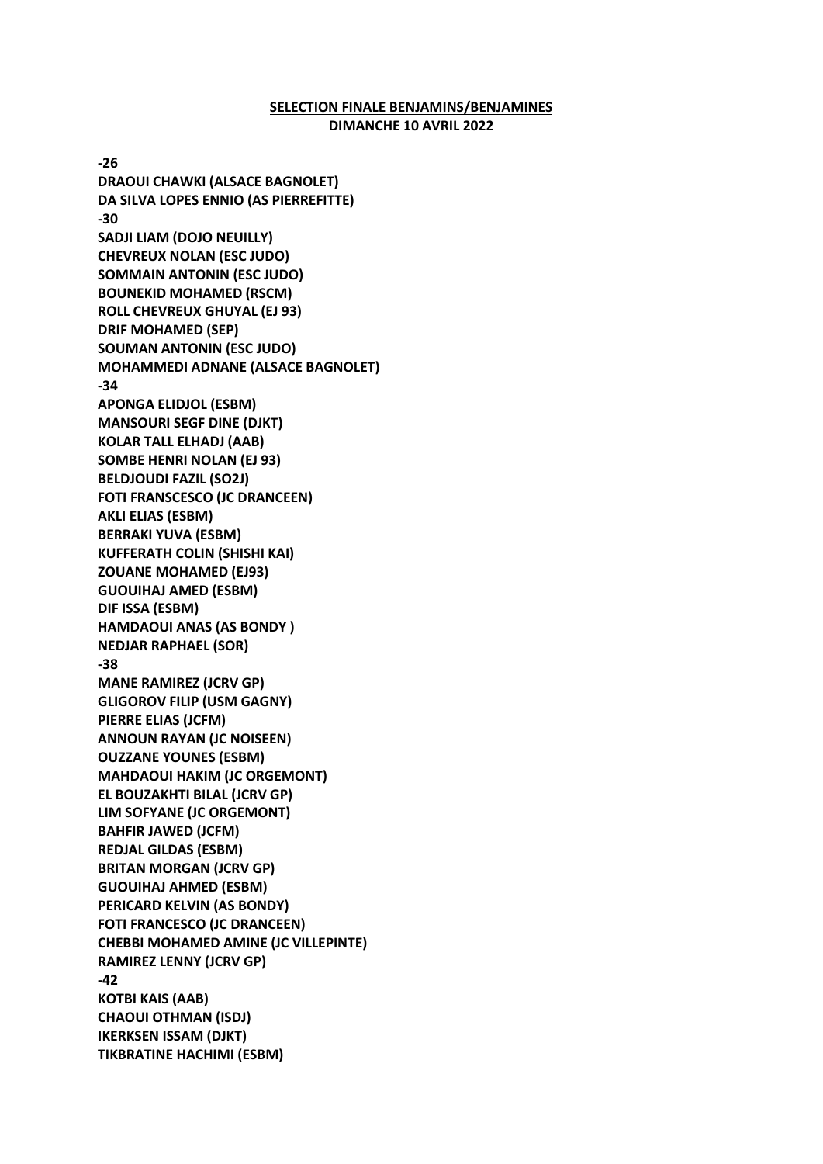## **SELECTION FINALE BENJAMINS/BENJAMINES DIMANCHE 10 AVRIL 2022**

**-26 DRAOUI CHAWKI (ALSACE BAGNOLET) DA SILVA LOPES ENNIO (AS PIERREFITTE) -30 SADJI LIAM (DOJO NEUILLY) CHEVREUX NOLAN (ESC JUDO) SOMMAIN ANTONIN (ESC JUDO) BOUNEKID MOHAMED (RSCM) ROLL CHEVREUX GHUYAL (EJ 93) DRIF MOHAMED (SEP) SOUMAN ANTONIN (ESC JUDO) MOHAMMEDI ADNANE (ALSACE BAGNOLET) -34 APONGA ELIDJOL (ESBM) MANSOURI SEGF DINE (DJKT) KOLAR TALL ELHADJ (AAB) SOMBE HENRI NOLAN (EJ 93) BELDJOUDI FAZIL (SO2J) FOTI FRANSCESCO (JC DRANCEEN) AKLI ELIAS (ESBM) BERRAKI YUVA (ESBM) KUFFERATH COLIN (SHISHI KAI) ZOUANE MOHAMED (EJ93) GUOUIHAJ AMED (ESBM) DIF ISSA (ESBM) HAMDAOUI ANAS (AS BONDY ) NEDJAR RAPHAEL (SOR) -38 MANE RAMIREZ (JCRV GP) GLIGOROV FILIP (USM GAGNY) PIERRE ELIAS (JCFM) ANNOUN RAYAN (JC NOISEEN) OUZZANE YOUNES (ESBM) MAHDAOUI HAKIM (JC ORGEMONT) EL BOUZAKHTI BILAL (JCRV GP) LIM SOFYANE (JC ORGEMONT) BAHFIR JAWED (JCFM) REDJAL GILDAS (ESBM) BRITAN MORGAN (JCRV GP) GUOUIHAJ AHMED (ESBM) PERICARD KELVIN (AS BONDY) FOTI FRANCESCO (JC DRANCEEN) CHEBBI MOHAMED AMINE (JC VILLEPINTE) RAMIREZ LENNY (JCRV GP) -42 KOTBI KAIS (AAB) CHAOUI OTHMAN (ISDJ) IKERKSEN ISSAM (DJKT) TIKBRATINE HACHIMI (ESBM)**